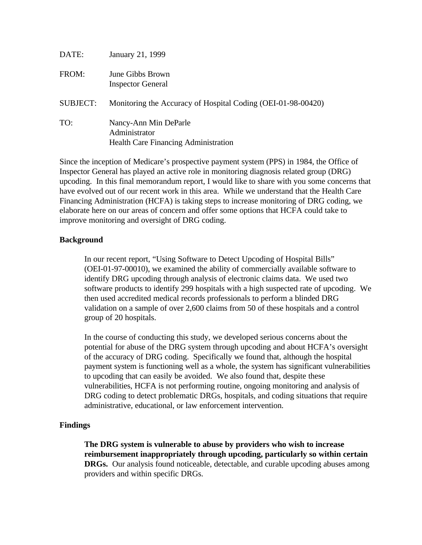| DATE:           | January 21, 1999                                                                      |
|-----------------|---------------------------------------------------------------------------------------|
| FROM:           | June Gibbs Brown<br><b>Inspector General</b>                                          |
| <b>SUBJECT:</b> | Monitoring the Accuracy of Hospital Coding (OEI-01-98-00420)                          |
| TO:             | Nancy-Ann Min DeParle<br>Administrator<br><b>Health Care Financing Administration</b> |

Since the inception of Medicare's prospective payment system (PPS) in 1984, the Office of Inspector General has played an active role in monitoring diagnosis related group (DRG) upcoding. In this final memorandum report, I would like to share with you some concerns that have evolved out of our recent work in this area. While we understand that the Health Care Financing Administration (HCFA) is taking steps to increase monitoring of DRG coding, we elaborate here on our areas of concern and offer some options that HCFA could take to improve monitoring and oversight of DRG coding.

### **Background**

In our recent report, "Using Software to Detect Upcoding of Hospital Bills" (OEI-01-97-00010), we examined the ability of commercially available software to identify DRG upcoding through analysis of electronic claims data. We used two software products to identify 299 hospitals with a high suspected rate of upcoding. We then used accredited medical records professionals to perform a blinded DRG validation on a sample of over 2,600 claims from 50 of these hospitals and a control group of 20 hospitals.

In the course of conducting this study, we developed serious concerns about the potential for abuse of the DRG system through upcoding and about HCFA's oversight of the accuracy of DRG coding. Specifically we found that, although the hospital payment system is functioning well as a whole, the system has significant vulnerabilities to upcoding that can easily be avoided. We also found that, despite these vulnerabilities, HCFA is not performing routine, ongoing monitoring and analysis of DRG coding to detect problematic DRGs, hospitals, and coding situations that require administrative, educational, or law enforcement intervention.

#### **Findings**

**The DRG system is vulnerable to abuse by providers who wish to increase reimbursement inappropriately through upcoding, particularly so within certain DRGs.** Our analysis found noticeable, detectable, and curable upcoding abuses among providers and within specific DRGs.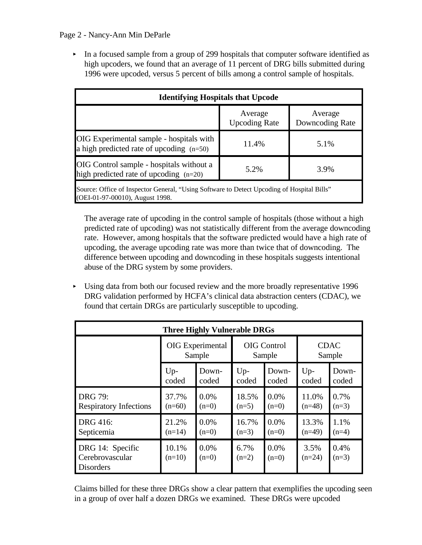## Page 2 - Nancy-Ann Min DeParle

 $\blacktriangleright$  In a focused sample from a group of 299 hospitals that computer software identified as high upcoders, we found that an average of 11 percent of DRG bills submitted during 1996 were upcoded, versus 5 percent of bills among a control sample of hospitals.

| <b>Identifying Hospitals that Upcode</b>                                                   |                                 |                            |  |  |  |  |
|--------------------------------------------------------------------------------------------|---------------------------------|----------------------------|--|--|--|--|
|                                                                                            | Average<br><b>Upcoding Rate</b> | Average<br>Downcoding Rate |  |  |  |  |
| OIG Experimental sample - hospitals with<br>a high predicted rate of upcoding $(n=50)$     | 11.4%                           | 5.1%                       |  |  |  |  |
| OIG Control sample - hospitals without a<br>high predicted rate of upcoding $(n=20)$       | 5.2%                            | 3.9%                       |  |  |  |  |
| Source: Office of Inspector General, "Using Software to Detect Upcoding of Hospital Bills" |                                 |                            |  |  |  |  |

(OEI-01-97-00010), August 1998.

The average rate of upcoding in the control sample of hospitals (those without a high predicted rate of upcoding) was not statistically different from the average downcoding rate. However, among hospitals that the software predicted would have a high rate of upcoding, the average upcoding rate was more than twice that of downcoding. The difference between upcoding and downcoding in these hospitals suggests intentional abuse of the DRG system by some providers.

< Using data from both our focused review and the more broadly representative 1996 DRG validation performed by HCFA's clinical data abstraction centers (CDAC), we found that certain DRGs are particularly susceptible to upcoding.

| <b>Three Highly Vulnerable DRGs</b>                     |                         |                    |                    |                    |                  |                 |  |  |  |
|---------------------------------------------------------|-------------------------|--------------------|--------------------|--------------------|------------------|-----------------|--|--|--|
|                                                         | <b>OIG</b> Experimental |                    | <b>OIG</b> Control |                    | <b>CDAC</b>      |                 |  |  |  |
|                                                         | Sample                  |                    | Sample             |                    | Sample           |                 |  |  |  |
|                                                         | $Up-$                   | Down-              | $Up-$              | Down-              | $Up-$            | Down-           |  |  |  |
|                                                         | coded                   | coded              | coded              | coded              | coded            | coded           |  |  |  |
| <b>DRG 79:</b>                                          | 37.7%                   | $0.0\%$            | 18.5%              | 0.0%               | 11.0%            | 0.7%            |  |  |  |
| <b>Respiratory Infections</b>                           | $(n=60)$                | $(n=0)$            | $(n=5)$            | $(n=0)$            | $(n=48)$         | $(n=3)$         |  |  |  |
| DRG 416:                                                | 21.2%                   | 0.0%               | 16.7%              | 0.0%               | 13.3%            | 1.1%            |  |  |  |
| Septicemia                                              | $(n=14)$                | $(n=0)$            | $(n=3)$            | $(n=0)$            | $(n=49)$         | $(n=4)$         |  |  |  |
| DRG 14: Specific<br>Cerebrovascular<br><b>Disorders</b> | 10.1%<br>$(n=10)$       | $0.0\%$<br>$(n=0)$ | 6.7%<br>$(n=2)$    | $0.0\%$<br>$(n=0)$ | 3.5%<br>$(n=24)$ | 0.4%<br>$(n=3)$ |  |  |  |

Claims billed for these three DRGs show a clear pattern that exemplifies the upcoding seen in a group of over half a dozen DRGs we examined. These DRGs were upcoded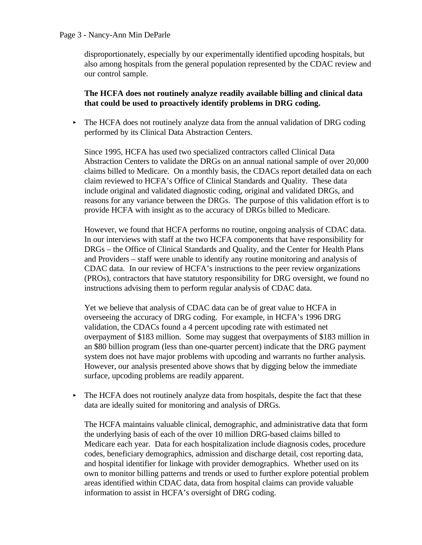#### Page 3 - Nancy-Ann Min DeParle

disproportionately, especially by our experimentally identified upcoding hospitals, but also among hospitals from the general population represented by the CDAC review and our control sample.

# **The HCFA does not routinely analyze readily available billing and clinical data that could be used to proactively identify problems in DRG coding.**

 $\triangleright$  The HCFA does not routinely analyze data from the annual validation of DRG coding performed by its Clinical Data Abstraction Centers.

Since 1995, HCFA has used two specialized contractors called Clinical Data Abstraction Centers to validate the DRGs on an annual national sample of over 20,000 claims billed to Medicare. On a monthly basis, the CDACs report detailed data on each claim reviewed to HCFA's Office of Clinical Standards and Quality. These data include original and validated diagnostic coding, original and validated DRGs, and reasons for any variance between the DRGs. The purpose of this validation effort is to provide HCFA with insight as to the accuracy of DRGs billed to Medicare.

However, we found that HCFA performs no routine, ongoing analysis of CDAC data. In our interviews with staff at the two HCFA components that have responsibility for DRGs – the Office of Clinical Standards and Quality, and the Center for Health Plans and Providers – staff were unable to identify any routine monitoring and analysis of CDAC data. In our review of HCFA's instructions to the peer review organizations (PROs), contractors that have statutory responsibility for DRG oversight, we found no instructions advising them to perform regular analysis of CDAC data.

Yet we believe that analysis of CDAC data can be of great value to HCFA in overseeing the accuracy of DRG coding. For example, in HCFA's 1996 DRG validation, the CDACs found a 4 percent upcoding rate with estimated net overpayment of \$183 million. Some may suggest that overpayments of \$183 million in an \$80 billion program (less than one-quarter percent) indicate that the DRG payment system does not have major problems with upcoding and warrants no further analysis. However, our analysis presented above shows that by digging below the immediate surface, upcoding problems are readily apparent.

 $\blacktriangleright$  The HCFA does not routinely analyze data from hospitals, despite the fact that these data are ideally suited for monitoring and analysis of DRGs.

The HCFA maintains valuable clinical, demographic, and administrative data that form the underlying basis of each of the over 10 million DRG-based claims billed to Medicare each year. Data for each hospitalization include diagnosis codes, procedure codes, beneficiary demographics, admission and discharge detail, cost reporting data, and hospital identifier for linkage with provider demographics. Whether used on its own to monitor billing patterns and trends or used to further explore potential problem areas identified within CDAC data, data from hospital claims can provide valuable information to assist in HCFA's oversight of DRG coding.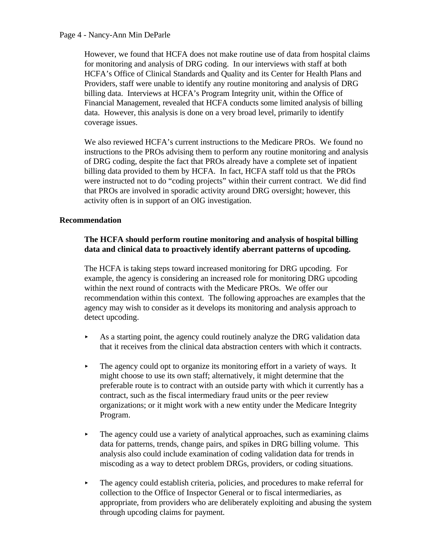### Page 4 - Nancy-Ann Min DeParle

However, we found that HCFA does not make routine use of data from hospital claims for monitoring and analysis of DRG coding. In our interviews with staff at both HCFA's Office of Clinical Standards and Quality and its Center for Health Plans and Providers, staff were unable to identify any routine monitoring and analysis of DRG billing data. Interviews at HCFA's Program Integrity unit, within the Office of Financial Management, revealed that HCFA conducts some limited analysis of billing data. However, this analysis is done on a very broad level, primarily to identify coverage issues.

We also reviewed HCFA's current instructions to the Medicare PROs. We found no instructions to the PROs advising them to perform any routine monitoring and analysis of DRG coding, despite the fact that PROs already have a complete set of inpatient billing data provided to them by HCFA. In fact, HCFA staff told us that the PROs were instructed not to do "coding projects" within their current contract. We did find that PROs are involved in sporadic activity around DRG oversight; however, this activity often is in support of an OIG investigation.

## **Recommendation**

# **The HCFA should perform routine monitoring and analysis of hospital billing data and clinical data to proactively identify aberrant patterns of upcoding.**

The HCFA is taking steps toward increased monitoring for DRG upcoding. For example, the agency is considering an increased role for monitoring DRG upcoding within the next round of contracts with the Medicare PROs. We offer our recommendation within this context. The following approaches are examples that the agency may wish to consider as it develops its monitoring and analysis approach to detect upcoding.

- $\triangleright$  As a starting point, the agency could routinely analyze the DRG validation data that it receives from the clinical data abstraction centers with which it contracts.
- $\blacktriangleright$  The agency could opt to organize its monitoring effort in a variety of ways. It might choose to use its own staff; alternatively, it might determine that the preferable route is to contract with an outside party with which it currently has a contract, such as the fiscal intermediary fraud units or the peer review organizations; or it might work with a new entity under the Medicare Integrity Program.
- $\blacktriangleright$  The agency could use a variety of analytical approaches, such as examining claims data for patterns, trends, change pairs, and spikes in DRG billing volume. This analysis also could include examination of coding validation data for trends in miscoding as a way to detect problem DRGs, providers, or coding situations.
- $\blacktriangleright$  The agency could establish criteria, policies, and procedures to make referral for collection to the Office of Inspector General or to fiscal intermediaries, as appropriate, from providers who are deliberately exploiting and abusing the system through upcoding claims for payment.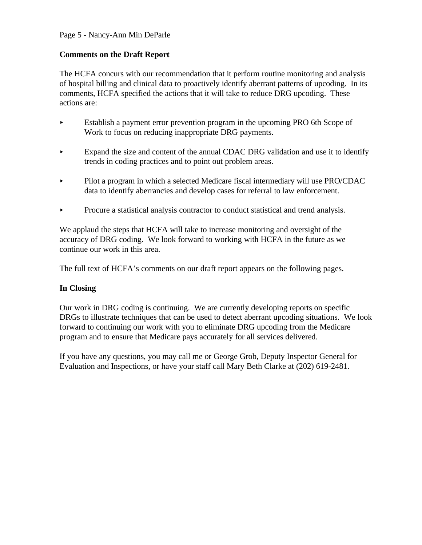# Page 5 - Nancy-Ann Min DeParle

# **Comments on the Draft Report**

The HCFA concurs with our recommendation that it perform routine monitoring and analysis of hospital billing and clinical data to proactively identify aberrant patterns of upcoding. In its comments, HCFA specified the actions that it will take to reduce DRG upcoding. These actions are:

- < Establish a payment error prevention program in the upcoming PRO 6th Scope of Work to focus on reducing inappropriate DRG payments.
- Expand the size and content of the annual CDAC DRG validation and use it to identify trends in coding practices and to point out problem areas.
- Pilot a program in which a selected Medicare fiscal intermediary will use PRO/CDAC data to identify aberrancies and develop cases for referral to law enforcement.
- < Procure a statistical analysis contractor to conduct statistical and trend analysis.

We applaud the steps that HCFA will take to increase monitoring and oversight of the accuracy of DRG coding. We look forward to working with HCFA in the future as we continue our work in this area.

The full text of HCFA's comments on our draft report appears on the following pages.

# **In Closing**

Our work in DRG coding is continuing. We are currently developing reports on specific DRGs to illustrate techniques that can be used to detect aberrant upcoding situations. We look forward to continuing our work with you to eliminate DRG upcoding from the Medicare program and to ensure that Medicare pays accurately for all services delivered.

If you have any questions, you may call me or George Grob, Deputy Inspector General for Evaluation and Inspections, or have your staff call Mary Beth Clarke at (202) 619-2481.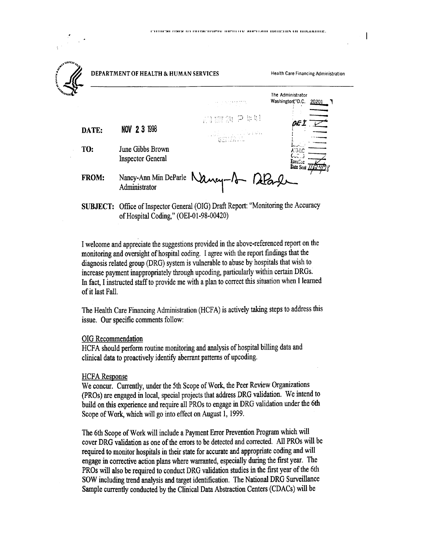| $\mathbf{v}^{\mathbf{y} \times \ldots \times \mathbf{y}_{n}}$ | DEPARTMENT OF HEALTH & HUMAN SERVICES        |                                        | <b>Health Care Financing Administratio</b>     |
|---------------------------------------------------------------|----------------------------------------------|----------------------------------------|------------------------------------------------|
|                                                               |                                              | a shekarar 200                         | The Administrator<br>Washington, D.C.<br>20201 |
|                                                               |                                              | 高腳須 Pゅ叶                                | ØE.                                            |
| DATE:                                                         | NOV 2 3 1998                                 |                                        |                                                |
| TO:                                                           | June Gibbs Brown<br><b>Inspector General</b> |                                        | A'G-LC<br>ExecCoc<br>Date Sent /               |
| FROM:                                                         | Administrator                                | Nancy-Ann Min DeParle Nancy-1 - DeParl |                                                |

SUBJECT: Office of Inspector General (OIG) Draft Report: "Monitoring the Accuracy of Hospital Coding," (OEI-01-98-00420)

I welcome and appreciate the suggestions provided in the above-referenced report on the monitoring and oversight of hospital coding. I agree with the report findings that the diagnosis related group (DRG) system is vulnerable to abuse by hospitals that wish to increase payment inappropriately through upcoding, particularly within certain DRGs. In fact, I instructed staff to provide me with a plan to correct this situation when I learned of it last Fall.

The Health Care Financing Administration (HCFA) is actively taking steps to address this issue. Our specific comments follow:

#### OIG Recommendation

HCFA should perform routine monitoring and analysis of hospital billing data and clinical data to proactively identify aberrant patterns of upcoding.

#### **HCFA Response**

We concur. Currently, under the 5th Scope of Work, the Peer Review Organizations (PROs) are engaged in local, special projects that address DRG validation. We intend to build on this experience and require all PROs to engage in DRG validation under the 6th Scope of Work, which will go into effect on August 1, 1999.

The 6th Scope of Work will include a Payment Error Prevention Program which will cover DRG validation as one of the errors to be detected and corrected. All PROs will be required to monitor hospitals in their state for accurate and appropriate coding and will engage in corrective action plans where warranted, especially during the first year. The PROs will also be required to conduct DRG validation studies in the first year of the 6th SOW including trend analysis and target identification. The National DRG Surveillance Sample currently conducted by the Clinical Data Abstraction Centers (CDACs) will be

 $\mathbf{l}$